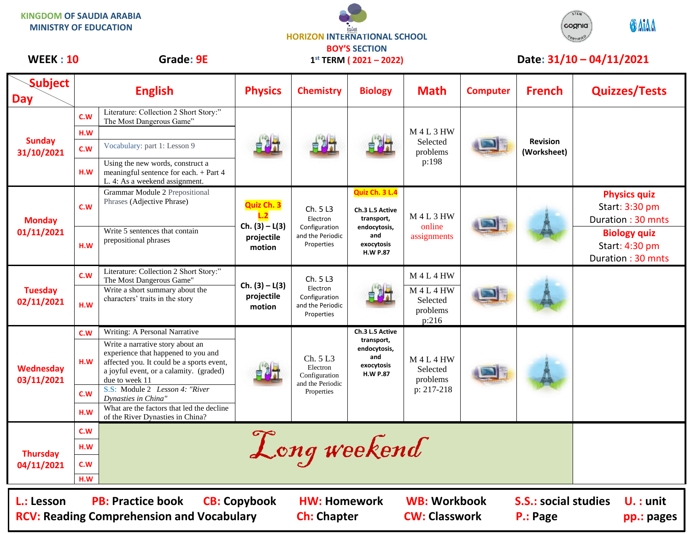**HORIZON INTERNATIONAL SCHOOL KINGDOM OF SAUDIA ARABIA MINISTRY OF EDUCATION**



## WEEK : 10 Grade: 9E 1<sup>st</sup> TERM (2021 – 2022) Date: 31/10 – 04/11/2021

| <b>Subject</b><br><b>Day</b>                                                                                                                                                                                                                                            |     | <b>English</b>                                                                                                                                                                    | <b>Physics</b>                                                | <b>Chemistry</b>                                                        | <b>Biology</b>                                                                                          | <b>Math</b>                                        | <b>Computer</b> | <b>French</b>                  | <b>Quizzes/Tests</b>                                       |  |
|-------------------------------------------------------------------------------------------------------------------------------------------------------------------------------------------------------------------------------------------------------------------------|-----|-----------------------------------------------------------------------------------------------------------------------------------------------------------------------------------|---------------------------------------------------------------|-------------------------------------------------------------------------|---------------------------------------------------------------------------------------------------------|----------------------------------------------------|-----------------|--------------------------------|------------------------------------------------------------|--|
| <b>Sunday</b><br>31/10/2021                                                                                                                                                                                                                                             | C.W | Literature: Collection 2 Short Story:"<br>The Most Dangerous Game"                                                                                                                |                                                               |                                                                         |                                                                                                         |                                                    |                 |                                |                                                            |  |
|                                                                                                                                                                                                                                                                         | H.W |                                                                                                                                                                                   |                                                               |                                                                         |                                                                                                         | <b>M4L3HW</b>                                      |                 |                                |                                                            |  |
|                                                                                                                                                                                                                                                                         | C.W | Vocabulary: part 1: Lesson 9                                                                                                                                                      |                                                               |                                                                         |                                                                                                         | Selected<br>problems<br>p:198                      |                 | <b>Revision</b><br>(Worksheet) |                                                            |  |
|                                                                                                                                                                                                                                                                         | H.W | Using the new words, construct a<br>meaningful sentence for each. + Part 4<br>L. 4: As a weekend assignment.                                                                      |                                                               |                                                                         |                                                                                                         |                                                    |                 |                                |                                                            |  |
| <b>Monday</b><br>01/11/2021                                                                                                                                                                                                                                             | C.W | <b>Grammar Module 2 Prepositional</b><br>Phrases (Adjective Phrase)                                                                                                               | Quiz Ch. 3<br>L.2<br>$Ch. (3) - L(3)$<br>projectile<br>motion | Ch. 5 L3<br>Electron<br>Configuration<br>and the Periodic<br>Properties | Quiz Ch. 3 L.4<br>Ch.3 L.5 Active<br>transport,<br>endocytosis,<br>and<br>exocytosis<br><b>H.W P.87</b> | <b>M4L3HW</b><br>online<br>assignments             |                 |                                | <b>Physics quiz</b><br>Start: 3:30 pm<br>Duration: 30 mnts |  |
|                                                                                                                                                                                                                                                                         | H.W | Write 5 sentences that contain<br>prepositional phrases                                                                                                                           |                                                               |                                                                         |                                                                                                         |                                                    |                 |                                | <b>Biology quiz</b><br>Start: 4:30 pm<br>Duration: 30 mnts |  |
| <b>Tuesday</b><br>02/11/2021                                                                                                                                                                                                                                            | C.W | Literature: Collection 2 Short Story:"<br>The Most Dangerous Game"                                                                                                                |                                                               | Ch. 5 L3                                                                |                                                                                                         | <b>M4L4HW</b>                                      |                 |                                |                                                            |  |
|                                                                                                                                                                                                                                                                         | H.W | Write a short summary about the<br>characters' traits in the story                                                                                                                | $Ch. (3) - L(3)$<br>projectile<br>motion                      | Electron<br>Configuration<br>and the Periodic<br>Properties             |                                                                                                         | <b>M4L4HW</b><br>Selected<br>problems<br>p:216     |                 |                                |                                                            |  |
| <b>Wednesday</b><br>03/11/2021                                                                                                                                                                                                                                          | C.W | Writing: A Personal Narrative                                                                                                                                                     |                                                               | Ch. 5 L3<br>Electron<br>Configuration<br>and the Periodic<br>Properties | Ch.3 L.5 Active<br>transport,<br>endocytosis,<br>and<br>exocytosis<br><b>H.W P.87</b>                   | $M$ 4 L 4 HW<br>Selected<br>problems<br>p: 217-218 |                 |                                |                                                            |  |
|                                                                                                                                                                                                                                                                         | H.W | Write a narrative story about an<br>experience that happened to you and<br>affected you. It could be a sports event,<br>a joyful event, or a calamity. (graded)<br>due to week 11 |                                                               |                                                                         |                                                                                                         |                                                    |                 |                                |                                                            |  |
|                                                                                                                                                                                                                                                                         | C.W | S.S: Module 2 Lesson 4: "River<br>Dynasties in China"                                                                                                                             |                                                               |                                                                         |                                                                                                         |                                                    |                 |                                |                                                            |  |
|                                                                                                                                                                                                                                                                         | H.W | What are the factors that led the decline<br>of the River Dynasties in China?                                                                                                     |                                                               |                                                                         |                                                                                                         |                                                    |                 |                                |                                                            |  |
| <b>Thursday</b><br>04/11/2021                                                                                                                                                                                                                                           | C.W |                                                                                                                                                                                   |                                                               |                                                                         |                                                                                                         |                                                    |                 |                                |                                                            |  |
|                                                                                                                                                                                                                                                                         | H.W | Long weekend                                                                                                                                                                      |                                                               |                                                                         |                                                                                                         |                                                    |                 |                                |                                                            |  |
|                                                                                                                                                                                                                                                                         | C.W |                                                                                                                                                                                   |                                                               |                                                                         |                                                                                                         |                                                    |                 |                                |                                                            |  |
|                                                                                                                                                                                                                                                                         | H.W |                                                                                                                                                                                   |                                                               |                                                                         |                                                                                                         |                                                    |                 |                                |                                                            |  |
| <b>WB: Workbook</b><br><b>PB: Practice book</b><br><b>CB: Copybook</b><br><b>HW: Homework</b><br><b>S.S.: social studies</b><br>L.: Lesson<br>$U.$ : unit<br><b>RCV: Reading Comprehension and Vocabulary</b><br><b>CW: Classwork</b><br><b>Ch: Chapter</b><br>P.: Page |     |                                                                                                                                                                                   |                                                               |                                                                         |                                                                                                         |                                                    |                 | pp.: pages                     |                                                            |  |

**BOY'S SECTION 1 st TERM ( 2021 – 2022)**